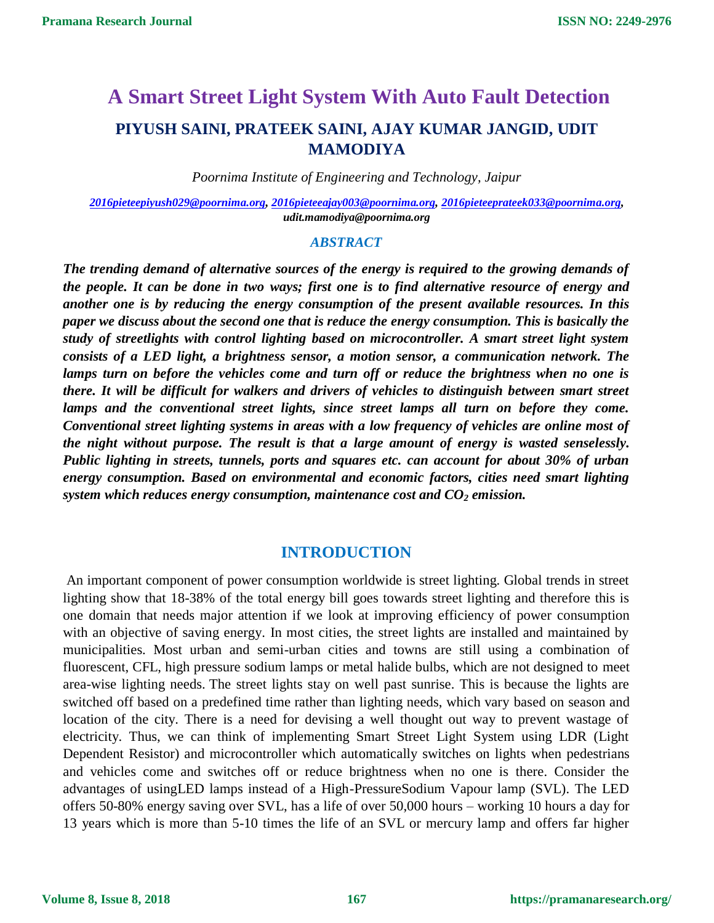# **A Smart Street Light System With Auto Fault Detection PIYUSH SAINI, PRATEEK SAINI, AJAY KUMAR JANGID, UDIT MAMODIYA**

*Poornima Institute of Engineering and Technology, Jaipur*

*[2016pieteepiyush029@poornima.org,](mailto:2016pieteepiyush029@poornima.org) [2016pieteeajay003@poornima.org,](mailto:2016pieteeajay003@poornima.org) [2016pieteeprateek033@poornima.org,](mailto:2016pieteeprateek033@poornima.org) udit.mamodiya@poornima.org*

#### *ABSTRACT*

*The trending demand of alternative sources of the energy is required to the growing demands of the people. It can be done in two ways; first one is to find alternative resource of energy and another one is by reducing the energy consumption of the present available resources. In this paper we discuss about the second one that is reduce the energy consumption. This is basically the study of streetlights with control lighting based on microcontroller. A smart street light system consists of a LED light, a brightness sensor, a motion sensor, a communication network. The*  lamps turn on before the vehicles come and turn off or reduce the brightness when no one is *there. It will be difficult for walkers and drivers of vehicles to distinguish between smart street lamps and the conventional street lights, since street lamps all turn on before they come. Conventional street lighting systems in areas with a low frequency of vehicles are online most of the night without purpose. The result is that a large amount of energy is wasted senselessly. Public lighting in streets, tunnels, ports and squares etc. can account for about 30% of urban energy consumption. Based on environmental and economic factors, cities need smart lighting system which reduces energy consumption, maintenance cost and CO<sup>2</sup> emission.* 

## **INTRODUCTION**

An important component of power consumption worldwide is street lighting. Global trends in street lighting show that 18-38% of the total energy bill goes towards street lighting and therefore this is one domain that needs major attention if we look at improving efficiency of power consumption with an objective of saving energy. In most cities, the street lights are installed and maintained by municipalities. Most urban and semi-urban cities and towns are still using a combination of fluorescent, CFL, high pressure sodium lamps or metal halide bulbs, which are not designed to meet area-wise lighting needs. The street lights stay on well past sunrise. This is because the lights are switched off based on a predefined time rather than lighting needs, which vary based on season and location of the city. There is a need for devising a well thought out way to prevent wastage of electricity. Thus, we can think of implementing Smart Street Light System using LDR (Light Dependent Resistor) and microcontroller which automatically switches on lights when pedestrians and vehicles come and switches off or reduce brightness when no one is there. Consider the advantages of usingLED lamps instead of a High-PressureSodium Vapour lamp (SVL). The LED offers 50-80% energy saving over SVL, has a life of over 50,000 hours – working 10 hours a day for 13 years which is more than 5-10 times the life of an SVL or mercury lamp and offers far higher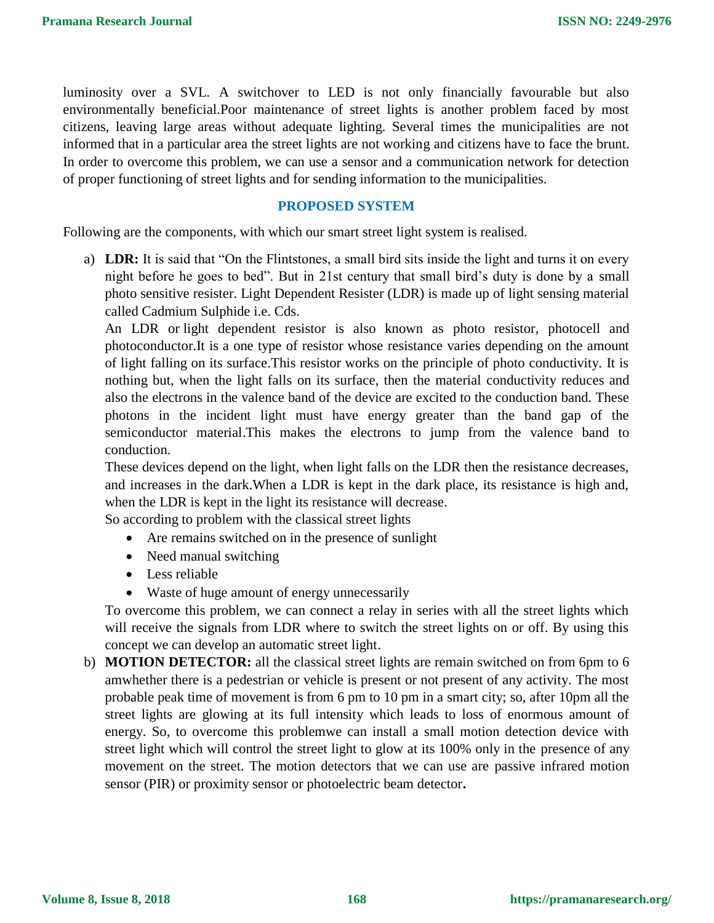luminosity over a SVL. A switchover to LED is not only financially favourable but also environmentally beneficial.Poor maintenance of street lights is another problem faced by most citizens, leaving large areas without adequate lighting. Several times the municipalities are not informed that in a particular area the street lights are not working and citizens have to face the brunt. In order to overcome this problem, we can use a sensor and a communication network for detection of proper functioning of street lights and for sending information to the municipalities.

#### **PROPOSED SYSTEM**

Following are the components, with which our smart street light system is realised.

a) **LDR:** It is said that "On the Flintstones, a small bird sits inside the light and turns it on every night before he goes to bed". But in 21st century that small bird's duty is done by a small photo sensitive resister. Light Dependent Resister (LDR) is made up of light sensing material called Cadmium Sulphide i.e. Cds.

An LDR or [light dependent resistor is also known as](http://en.wikipedia.org/wiki/Photoresistor) photo resistor, photocell and photoconductor.It is a one type of resistor whose resistance varies depending on the amount of light falling on its surface.This resistor works on the principle of photo conductivity. It is nothing but, when the light falls on its surface, then the material conductivity reduces and also the electrons in the valence band of the device are excited to the conduction band. These photons in the incident light must have energy greater than the band gap of the semiconductor material.This makes the electrons to jump from the valence band to conduction.

These devices depend on the light, when light falls on the LDR then the resistance decreases, and increases in the dark.When a LDR is kept in the dark place, its resistance is high and, when the LDR is kept in the light its resistance will decrease.

So according to problem with the classical street lights

- Are remains switched on in the presence of sunlight
- Need manual switching
- Less reliable
- Waste of huge amount of energy unnecessarily

To overcome this problem, we can connect a relay in series with all the street lights which will receive the signals from LDR where to switch the street lights on or off. By using this concept we can develop an automatic street light.

b) **MOTION DETECTOR:** all the classical street lights are remain switched on from 6pm to 6 amwhether there is a pedestrian or vehicle is present or not present of any activity. The most probable peak time of movement is from 6 pm to 10 pm in a smart city; so, after 10pm all the street lights are glowing at its full intensity which leads to loss of enormous amount of energy. So, to overcome this problemwe can install a small motion detection device with street light which will control the street light to glow at its 100% only in the presence of any movement on the street. The motion detectors that we can use are passive infrared motion sensor (PIR) or proximity sensor or photoelectric beam detector**.**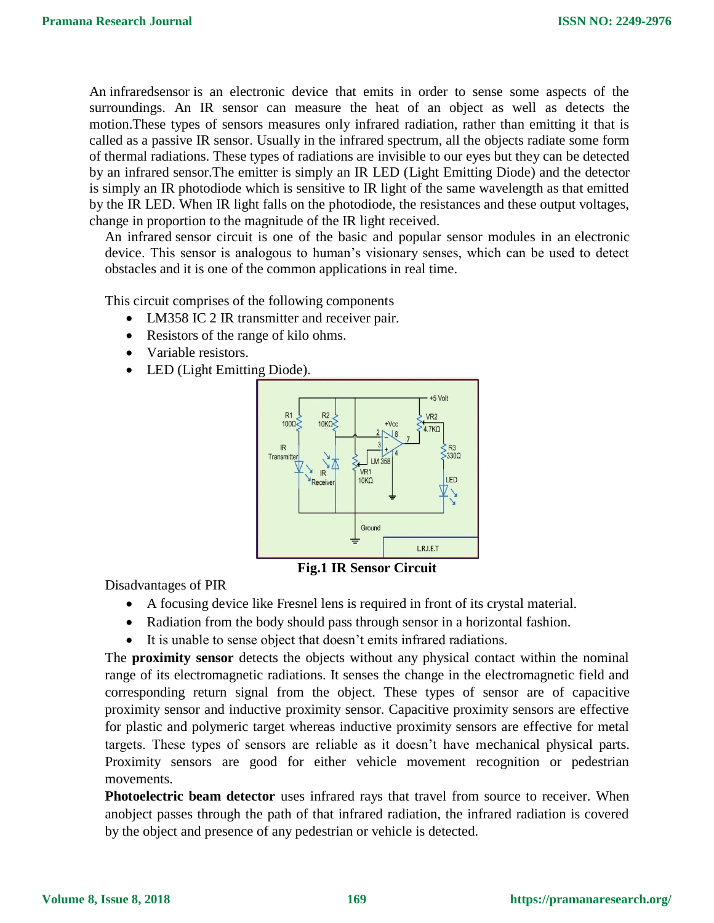An [infraredsensor](https://www.elprocus.com/ir-remote-control-basics-operation-application/) is an electronic device that emits in order to sense some aspects of the surroundings. An IR sensor can measure the heat of an object as well as detects the motion.These types of sensors measures only infrared radiation, rather than emitting it that is called as a [passive IR sensor.](https://www.elprocus.com/passive-infrared-pir-sensor-with-applications/) Usually in the infrared spectrum, all the objects radiate some form of thermal radiations. These types of radiations are invisible to our eyes but they can be detected by an infrared sensor.The emitter is simply an IR LED [\(Light Emitting Diode\)](http://www.elprocus.com/explain-different-types-leds-working-applications-engineering-students/) and the detector is simply an IR photodiode which is sensitive to IR light of the same wavelength as that emitted by the IR LED. When IR light falls on the photodiode, the resistances and these output voltages, change in proportion to the magnitude of the IR light received.

An infrared sensor circuit is one of the basic and popular sensor modules in an [electronic](http://www.elprocus.com/basic-components-used-electronics-electrical/)  [device.](http://www.elprocus.com/basic-components-used-electronics-electrical/) This sensor is analogous to human's visionary senses, which can be used to detect obstacles and it is one of the common applications in real time.

This circuit comprises of the following components

- [LM358 IC](http://www.elprocus.com/op-amp-ics-pin-configuration-features-working/) 2 IR transmitter and receiver pair.
- Resistors of the range of kilo ohms.
- Variable resistors.
- LED (Light Emitting Diode).



**Fig.1 IR Sensor Circuit**

Disadvantages of PIR

- A focusing device like Fresnel lens is required in front of its crystal material.
- Radiation from the body should pass through sensor in a horizontal fashion.
- It is unable to sense object that doesn't emits infrared radiations.

The **proximity sensor** detects the objects without any physical contact within the nominal range of its electromagnetic radiations. It senses the change in the electromagnetic field and corresponding return signal from the object. These types of sensor are of capacitive proximity sensor and inductive proximity sensor. Capacitive proximity sensors are effective for plastic and polymeric target whereas inductive proximity sensors are effective for metal targets. These types of sensors are reliable as it doesn't have mechanical physical parts. Proximity sensors are good for either vehicle movement recognition or pedestrian movements.

**Photoelectric beam detector** uses infrared rays that travel from source to receiver. When anobject passes through the path of that infrared radiation, the infrared radiation is covered by the object and presence of any pedestrian or vehicle is detected.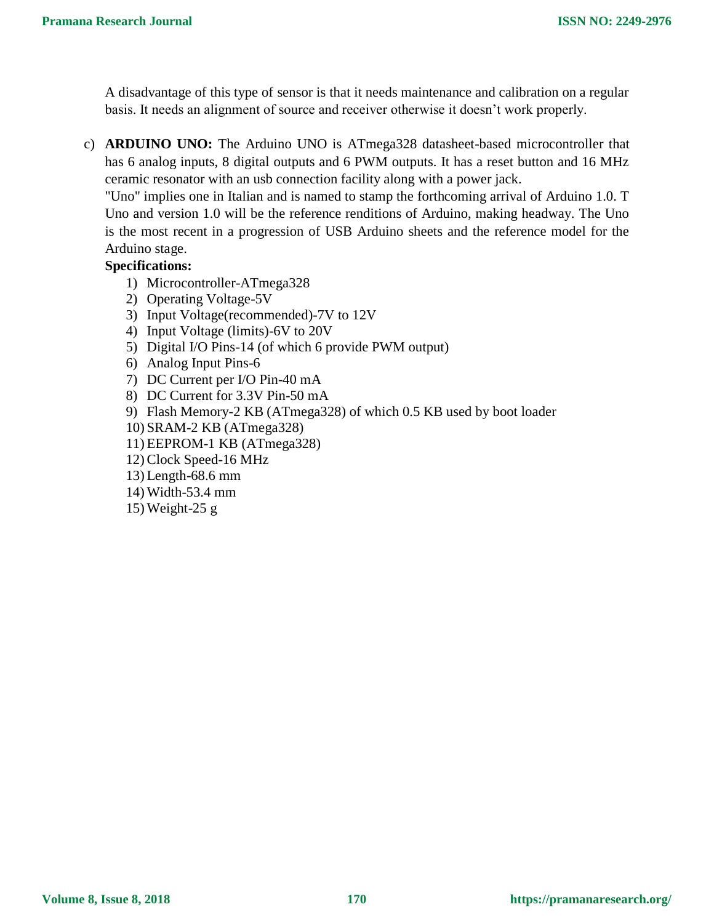A disadvantage of this type of sensor is that it needs maintenance and calibration on a regular basis. It needs an alignment of source and receiver otherwise it doesn't work properly.

c) **ARDUINO UNO:** The Arduino UNO is ATmega328 datasheet-based microcontroller that has 6 analog inputs, 8 digital outputs and 6 PWM outputs. It has a reset button and 16 MHz ceramic resonator with an usb connection facility along with a power jack.

"Uno" implies one in Italian and is named to stamp the forthcoming arrival of Arduino 1.0. T Uno and version 1.0 will be the reference renditions of Arduino, making headway. The Uno is the most recent in a progression of USB Arduino sheets and the reference model for the Arduino stage.

## **Specifications:**

- 1) Microcontroller-ATmega328
- 2) Operating Voltage-5V
- 3) Input Voltage(recommended)-7V to 12V
- 4) Input Voltage (limits)-6V to 20V
- 5) Digital I/O Pins-14 (of which 6 provide PWM output)
- 6) Analog Input Pins-6
- 7) DC Current per I/O Pin-40 mA
- 8) DC Current for 3.3V Pin-50 mA
- 9) Flash Memory-2 KB (ATmega328) of which 0.5 KB used by boot loader
- 10) SRAM-2 KB (ATmega328)
- 11) EEPROM-1 KB (ATmega328)
- 12) Clock Speed-16 MHz
- 13) Length-68.6 mm
- 14) Width-53.4 mm
- 15) Weight-25 g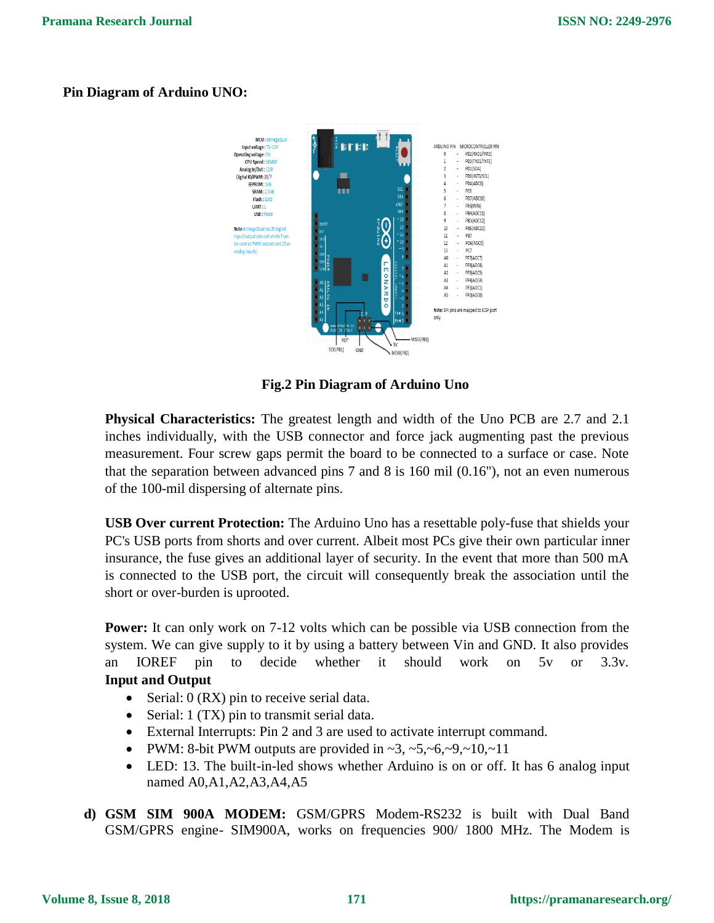## **Pin Diagram of Arduino UNO:**



**Fig.2 Pin Diagram of Arduino Uno**

**Physical Characteristics:** The greatest length and width of the Uno PCB are 2.7 and 2.1 inches individually, with the USB connector and force jack augmenting past the previous measurement. Four screw gaps permit the board to be connected to a surface or case. Note that the separation between advanced pins 7 and 8 is 160 mil (0.16"), not an even numerous of the 100-mil dispersing of alternate pins.

**USB Over current Protection:** The Arduino Uno has a resettable poly-fuse that shields your PC's USB ports from shorts and over current. Albeit most PCs give their own particular inner insurance, the fuse gives an additional layer of security. In the event that more than 500 mA is connected to the USB port, the circuit will consequently break the association until the short or over-burden is uprooted.

**Power:** It can only work on 7-12 volts which can be possible via USB connection from the system. We can give supply to it by using a battery between Vin and GND. It also provides an IOREF pin to decide whether it should work on 5v or 3.3v. **Input and Output**

- Serial:  $0$  (RX) pin to receive serial data.
- Serial: 1 (TX) pin to transmit serial data.
- External Interrupts: Pin 2 and 3 are used to activate interrupt command.
- PWM: 8-bit PWM outputs are provided in  $\sim$ 3,  $\sim$ 5, $\sim$ 6, $\sim$ 9, $\sim$ 10, $\sim$ 11
- LED: 13. The built-in-led shows whether Arduino is on or off. It has 6 analog input named A0,A1,A2,A3,A4,A5
- **d) GSM SIM 900A MODEM:** GSM/GPRS Modem-RS232 is built with Dual Band GSM/GPRS engine- SIM900A, works on frequencies 900/ 1800 MHz. The Modem is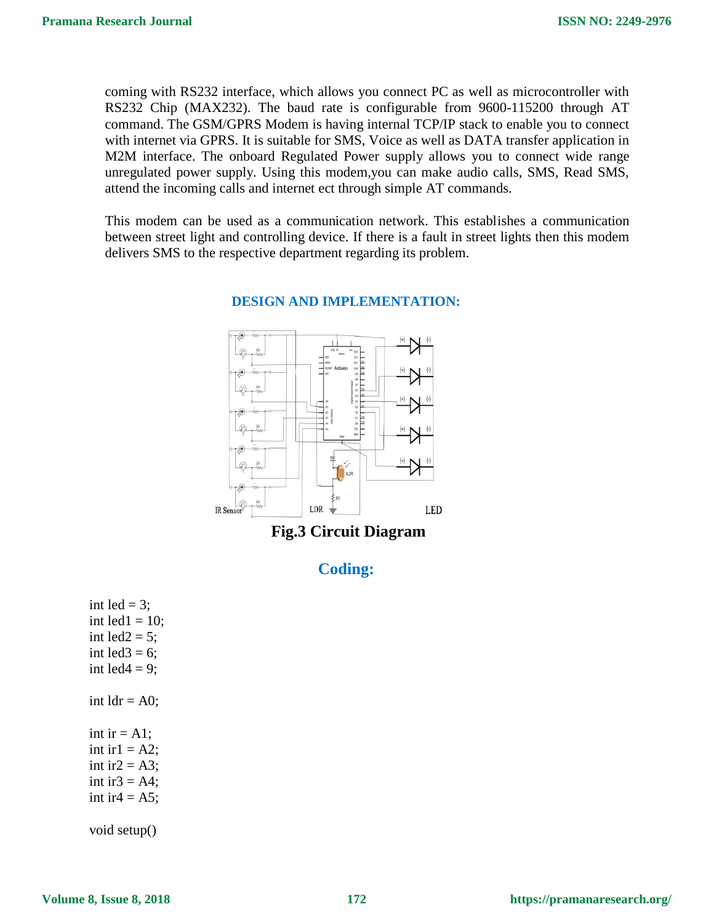coming with RS232 interface, which allows you connect PC as well as microcontroller with RS232 Chip (MAX232). The baud rate is configurable from 9600-115200 through AT command. The GSM/GPRS Modem is having internal TCP/IP stack to enable you to connect with internet via GPRS. It is suitable for SMS, Voice as well as DATA transfer application in M2M interface. The onboard Regulated Power supply allows you to connect wide range unregulated power supply. Using this modem,you can make audio calls, SMS, Read SMS, attend the incoming calls and internet ect through simple AT commands.

This modem can be used as a communication network. This establishes a communication between street light and controlling device. If there is a fault in street lights then this modem delivers SMS to the respective department regarding its problem.



#### **DESIGN AND IMPLEMENTATION:**

**Fig.3 Circuit Diagram**

# **Coding:**

int led  $= 3$ ; int led $1 = 10$ ; int led $2 = 5$ ; int led $3 = 6$ ; int led $4 = 9$ ; int  $ldr = A0$ ; int ir  $= A1$ ; int ir $1 = A2$ ; int ir $2 = A3$ ; int ir $3 = AA$ ; int ir $4 = A5$ ; void setup()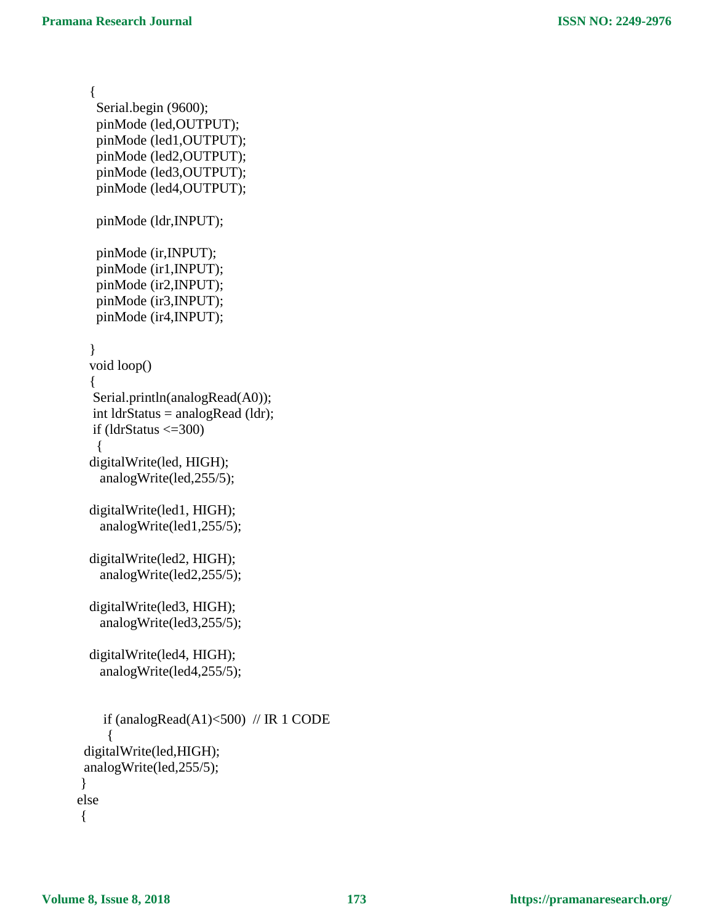```
{
    Serial.begin (9600);
    pinMode (led,OUTPUT);
    pinMode (led1,OUTPUT);
    pinMode (led2,OUTPUT);
    pinMode (led3,OUTPUT);
    pinMode (led4,OUTPUT);
    pinMode (ldr,INPUT);
    pinMode (ir,INPUT);
    pinMode (ir1,INPUT);
    pinMode (ir2,INPUT);
    pinMode (ir3,INPUT);
    pinMode (ir4,INPUT);
  }
  void loop() 
  {
  Serial.println(analogRead(A0));
  int ldrStatus = analogRead (ldr);
  if (ldrStatus \leq=300)
    {
  digitalWrite(led, HIGH);
     analogWrite(led,255/5);
  digitalWrite(led1, HIGH);
     analogWrite(led1,255/5); 
  digitalWrite(led2, HIGH);
     analogWrite(led2,255/5);
  digitalWrite(led3, HIGH);
     analogWrite(led3,255/5);
  digitalWrite(led4, HIGH);
     analogWrite(led4,255/5);
    if (analogRead(A1)<500) // IR 1 CODE
      {
  digitalWrite(led,HIGH);
  analogWrite(led,255/5); 
 } 
 else 
 {
```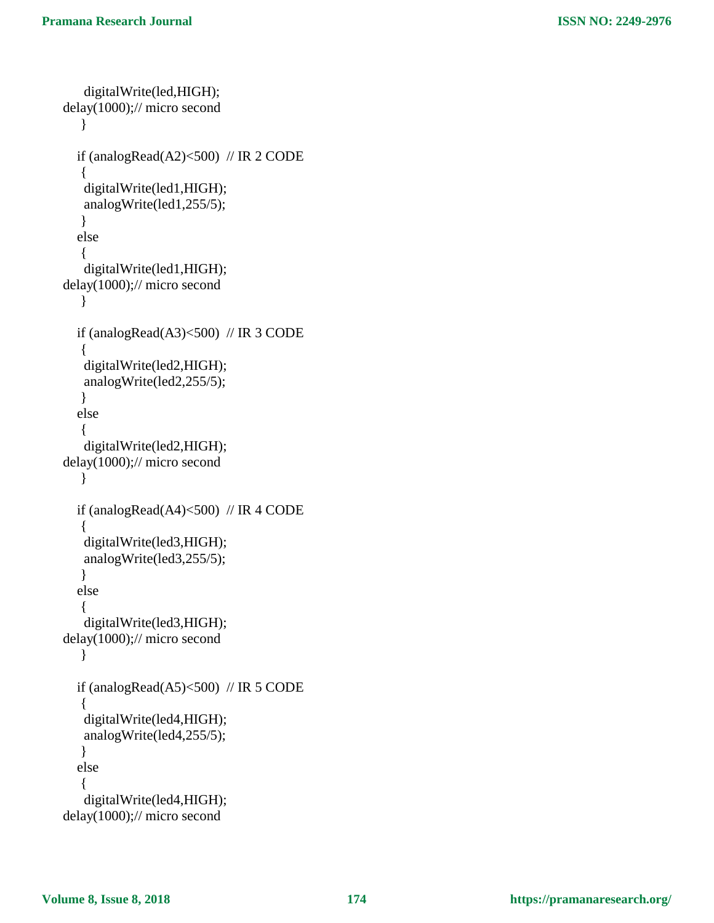```
 digitalWrite(led,HIGH);
delay(1000);// micro second
    } 
  if (analogRead(A2)<500) // IR 2 CODE
    {
    digitalWrite(led1,HIGH);
    analogWrite(led1,255/5); 
    } 
   else 
    {
    digitalWrite(led1,HIGH);
delay(1000);// micro second
    }
  if (analogRead(A3)<500) // IR 3 CODE
    {
    digitalWrite(led2,HIGH);
    analogWrite(led2,255/5); 
    } 
   else 
    {
    digitalWrite(led2,HIGH);
delay(1000);// micro second
    } 
  if (analogRead(A4)<500) // IR 4 CODE
    {
    digitalWrite(led3,HIGH);
    analogWrite(led3,255/5); 
    }
   else 
    {
    digitalWrite(led3,HIGH);
delay(1000);// micro second
    }
  if (analogRead(A5)<500) // IR 5 CODE
\left\{\right. digitalWrite(led4,HIGH);
    analogWrite(led4,255/5); 
    } 
   else 
    {
    digitalWrite(led4,HIGH);
delay(1000);// micro second
```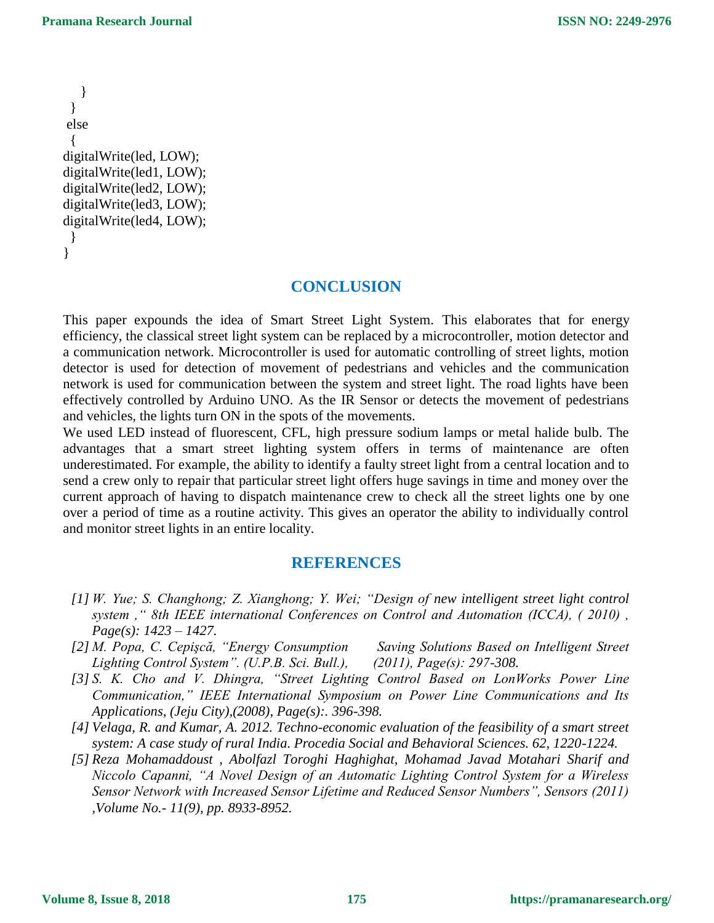} } else { digitalWrite(led, LOW); digitalWrite(led1, LOW); digitalWrite(led2, LOW); digitalWrite(led3, LOW); digitalWrite(led4, LOW); } }

## **CONCLUSION**

This paper expounds the idea of Smart Street Light System. This elaborates that for energy efficiency, the classical street light system can be replaced by a microcontroller, motion detector and a communication network. Microcontroller is used for automatic controlling of street lights, motion detector is used for detection of movement of pedestrians and vehicles and the communication network is used for communication between the system and street light. The road lights have been effectively controlled by Arduino UNO. As the IR Sensor or detects the movement of pedestrians and vehicles, the lights turn ON in the spots of the movements.

We used LED instead of fluorescent, CFL, high pressure sodium lamps or metal halide bulb. The advantages that a smart street lighting system offers in terms of maintenance are often underestimated. For example, the ability to identify a faulty street light from a central location and to send a crew only to repair that particular street light offers huge savings in time and money over the current approach of having to dispatch maintenance crew to check all the street lights one by one over a period of time as a routine activity. This gives an operator the ability to individually control and monitor street lights in an entire locality.

# **REFERENCES**

- *[1] W. Yue; S. Changhong; Z. Xianghong; Y. Wei; "Design of new intelligent street light control system ," 8th IEEE international Conferences on Control and Automation (ICCA), ( 2010) , Page(s): 1423 – 1427.*
- *[2] M. Popa, C. Cepişcă, "Energy Consumption Saving Solutions Based on Intelligent Street Lighting Control System". (U.P.B. Sci. Bull.), (2011), Page(s): 297-308.*
- *[3] S. K. Cho and V. Dhingra, "Street Lighting Control Based on LonWorks Power Line Communication," IEEE International Symposium on Power Line Communications and Its Applications, (Jeju City),(2008), Page(s):. 396-398.*
- *[4] Velaga, R. and Kumar, A. 2012. Techno-economic evaluation of the feasibility of a smart street system: A case study of rural India. Procedia Social and Behavioral Sciences. 62, 1220-1224.*
- *[5] Reza Mohamaddoust , Abolfazl Toroghi Haghighat, Mohamad Javad Motahari Sharif and Niccolo Capanni, "A Novel Design of an Automatic Lighting Control System for a Wireless Sensor Network with Increased Sensor Lifetime and Reduced Sensor Numbers", Sensors (2011) ,Volume No.- 11(9), pp. 8933-8952.*